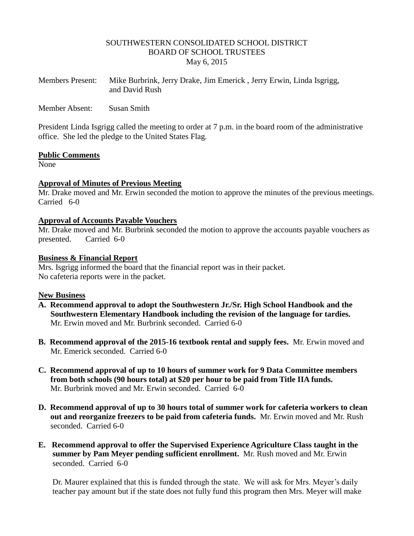### SOUTHWESTERN CONSOLIDATED SCHOOL DISTRICT BOARD OF SCHOOL TRUSTEES May 6, 2015

| <b>Members Present:</b> | Mike Burbrink, Jerry Drake, Jim Emerick, Jerry Erwin, Linda Isgrigg, |
|-------------------------|----------------------------------------------------------------------|
|                         | and David Rush                                                       |

Member Absent: Susan Smith

President Linda Isgrigg called the meeting to order at 7 p.m. in the board room of the administrative office. She led the pledge to the United States Flag.

#### **Public Comments**

None

### **Approval of Minutes of Previous Meeting**

Mr. Drake moved and Mr. Erwin seconded the motion to approve the minutes of the previous meetings. Carried 6-0

### **Approval of Accounts Payable Vouchers**

Mr. Drake moved and Mr. Burbrink seconded the motion to approve the accounts payable vouchers as presented. Carried 6-0

#### **Business & Financial Report**

Mrs. Isgrigg informed the board that the financial report was in their packet. No cafeteria reports were in the packet.

### **New Business**

- **A. Recommend approval to adopt the Southwestern Jr./Sr. High School Handbook and the Southwestern Elementary Handbook including the revision of the language for tardies.** Mr. Erwin moved and Mr. Burbrink seconded. Carried 6-0
- **B. Recommend approval of the 2015-16 textbook rental and supply fees.** Mr. Erwin moved and Mr. Emerick seconded. Carried 6-0
- **C. Recommend approval of up to 10 hours of summer work for 9 Data Committee members from both schools (90 hours total) at \$20 per hour to be paid from Title IIA funds.**  Mr. Burbrink moved and Mr. Erwin seconded. Carried 6-0
- **D. Recommend approval of up to 30 hours total of summer work for cafeteria workers to clean out and reorganize freezers to be paid from cafeteria funds.** Mr. Erwin moved and Mr. Rush seconded. Carried 6-0
- **E. Recommend approval to offer the Supervised Experience Agriculture Class taught in the summer by Pam Meyer pending sufficient enrollment.** Mr. Rush moved and Mr. Erwin seconded. Carried 6-0

 Dr. Maurer explained that this is funded through the state. We will ask for Mrs. Meyer's daily teacher pay amount but if the state does not fully fund this program then Mrs. Meyer will make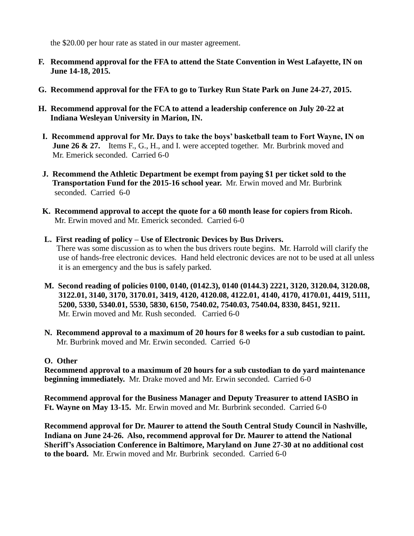the \$20.00 per hour rate as stated in our master agreement.

- **F. Recommend approval for the FFA to attend the State Convention in West Lafayette, IN on June 14-18, 2015.**
- **G. Recommend approval for the FFA to go to Turkey Run State Park on June 24-27, 2015.**
- **H. Recommend approval for the FCA to attend a leadership conference on July 20-22 at Indiana Wesleyan University in Marion, IN.**
- **I. Recommend approval for Mr. Days to take the boys' basketball team to Fort Wayne, IN on June 26 & 27.** Items F., G., H., and I. were accepted together. Mr. Burbrink moved and Mr. Emerick seconded. Carried 6-0
- **J. Recommend the Athletic Department be exempt from paying \$1 per ticket sold to the Transportation Fund for the 2015-16 school year.** Mr. Erwin moved and Mr. Burbrink seconded. Carried 6-0
- **K. Recommend approval to accept the quote for a 60 month lease for copiers from Ricoh.** Mr. Erwin moved and Mr. Emerick seconded. Carried 6-0
- **L. First reading of policy – Use of Electronic Devices by Bus Drivers.** There was some discussion as to when the bus drivers route begins. Mr. Harrold will clarify the use of hands-free electronic devices. Hand held electronic devices are not to be used at all unless it is an emergency and the bus is safely parked.
- **M. Second reading of policies 0100, 0140, (0142.3), 0140 (0144.3) 2221, 3120, 3120.04, 3120.08, 3122.01, 3140, 3170, 3170.01, 3419, 4120, 4120.08, 4122.01, 4140, 4170, 4170.01, 4419, 5111, 5200, 5330, 5340.01, 5530, 5830, 6150, 7540.02, 7540.03, 7540.04, 8330, 8451, 9211.** Mr. Erwin moved and Mr. Rush seconded. Carried 6-0
- **N. Recommend approval to a maximum of 20 hours for 8 weeks for a sub custodian to paint.** Mr. Burbrink moved and Mr. Erwin seconded. Carried 6-0

# **O. Other**

 **Recommend approval to a maximum of 20 hours for a sub custodian to do yard maintenance beginning immediately.** Mr. Drake moved and Mr. Erwin seconded. Carried 6-0

 **Recommend approval for the Business Manager and Deputy Treasurer to attend IASBO in Ft. Wayne on May 13-15.** Mr. Erwin moved and Mr. Burbrink seconded. Carried 6-0

 **Recommend approval for Dr. Maurer to attend the South Central Study Council in Nashville, Indiana on June 24-26. Also, recommend approval for Dr. Maurer to attend the National Sheriff's Association Conference in Baltimore, Maryland on June 27-30 at no additional cost to the board.** Mr. Erwin moved and Mr. Burbrink seconded. Carried 6-0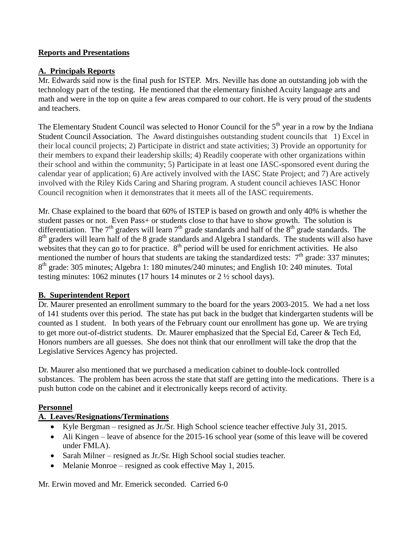# **Reports and Presentations**

## **A. Principals Reports**

Mr. Edwards said now is the final push for ISTEP. Mrs. Neville has done an outstanding job with the technology part of the testing. He mentioned that the elementary finished Acuity language arts and math and were in the top on quite a few areas compared to our cohort. He is very proud of the students and teachers.

The Elementary Student Council was selected to Honor Council for the  $5<sup>th</sup>$  year in a row by the Indiana Student Council Association. The Award distinguishes outstanding student councils that 1) Excel in their local council projects; 2) Participate in district and state activities; 3) Provide an opportunity for their members to expand their leadership skills; 4) Readily cooperate with other organizations within their school and within the community; 5) Participate in at least one IASC-sponsored event during the calendar year of application; 6) Are actively involved with the IASC State Project; and 7) Are actively involved with the Riley Kids Caring and Sharing program. A student council achieves IASC Honor Council recognition when it demonstrates that it meets all of the IASC requirements.

Mr. Chase explained to the board that 60% of ISTEP is based on growth and only 40% is whether the student passes or not. Even Pass+ or students close to that have to show growth. The solution is differentiation. The  $7<sup>th</sup>$  graders will learn  $7<sup>th</sup>$  grade standards and half of the  $8<sup>th</sup>$  grade standards. The 8<sup>th</sup> graders will learn half of the 8 grade standards and Algebra I standards. The students will also have websites that they can go to for practice.  $8<sup>th</sup>$  period will be used for enrichment activities. He also mentioned the number of hours that students are taking the standardized tests:  $7<sup>th</sup>$  grade: 337 minutes; 8<sup>th</sup> grade: 305 minutes; Algebra 1: 180 minutes/240 minutes; and English 10: 240 minutes. Total testing minutes: 1062 minutes (17 hours 14 minutes or 2 ½ school days).

### **B. Superintendent Report**

Dr. Maurer presented an enrollment summary to the board for the years 2003-2015. We had a net loss of 141 students over this period. The state has put back in the budget that kindergarten students will be counted as 1 student. In both years of the February count our enrollment has gone up. We are trying to get more out-of-district students. Dr. Maurer emphasized that the Special Ed, Career & Tech Ed, Honors numbers are all guesses. She does not think that our enrollment will take the drop that the Legislative Services Agency has projected.

Dr. Maurer also mentioned that we purchased a medication cabinet to double-lock controlled substances. The problem has been across the state that staff are getting into the medications. There is a push button code on the cabinet and it electronically keeps record of activity.

### **Personnel**

# **A. Leaves/Resignations/Terminations**

- Kyle Bergman resigned as Jr./Sr. High School science teacher effective July 31, 2015.
- Ali Kingen leave of absence for the 2015-16 school year (some of this leave will be covered under FMLA).
- Sarah Milner resigned as Jr./Sr. High School social studies teacher.
- Melanie Monroe resigned as cook effective May 1, 2015.

Mr. Erwin moved and Mr. Emerick seconded. Carried 6-0